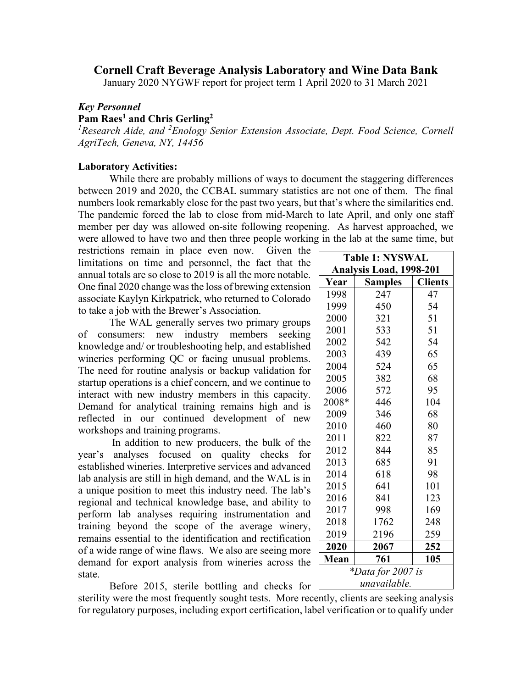## **Cornell Craft Beverage Analysis Laboratory and Wine Data Bank**

January 2020 NYGWF report for project term 1 April 2020 to 31 March 2021

## *Key Personnel*

## **Pam Raes1 and Chris Gerling2**

<sup>1</sup> Research Aide, and <sup>2</sup> Enology Senior Extension Associate, Dept. Food Science, Cornell *AgriTech, Geneva, NY, 14456*

## **Laboratory Activities:**

While there are probably millions of ways to document the staggering differences between 2019 and 2020, the CCBAL summary statistics are not one of them. The final numbers look remarkably close for the past two years, but that's where the similarities end. The pandemic forced the lab to close from mid-March to late April, and only one staff member per day was allowed on-site following reopening. As harvest approached, we were allowed to have two and then three people working in the lab at the same time, but

restrictions remain in place even now. Given the  $\Gamma$ limitations on time and personnel, the fact that the annual totals are so close to 2019 is all the more notable. One final 2020 change was the loss of brewing extension associate Kaylyn Kirkpatrick, who returned to Colorado to take a job with the Brewer's Association.

The WAL generally serves two primary groups of consumers: new industry members seeking knowledge and/ or troubleshooting help, and established wineries performing QC or facing unusual problems. The need for routine analysis or backup validation for startup operations is a chief concern, and we continue to interact with new industry members in this capacity. Demand for analytical training remains high and is reflected in our continued development of new workshops and training programs.

In addition to new producers, the bulk of the year's analyses focused on quality checks for established wineries. Interpretive services and advanced lab analysis are still in high demand, and the WAL is in a unique position to meet this industry need. The lab's regional and technical knowledge base, and ability to perform lab analyses requiring instrumentation and training beyond the scope of the average winery, remains essential to the identification and rectification of a wide range of wine flaws. We also are seeing more demand for export analysis from wineries across the state.

|  |  |  | Before 2015, sterile bottling and checks for |  |  |  |
|--|--|--|----------------------------------------------|--|--|--|
|--|--|--|----------------------------------------------|--|--|--|

sterility were the most frequently sought tests. More recently, clients are seeking analysis for regulatory purposes, including export certification, label verification or to qualify under

| <b>Table 1: NYSWAL</b>   |                |                |  |  |  |  |
|--------------------------|----------------|----------------|--|--|--|--|
| Analysis Load, 1998-201  |                |                |  |  |  |  |
| Year                     | <b>Samples</b> | <b>Clients</b> |  |  |  |  |
| 1998                     | 247            | 47             |  |  |  |  |
| 1999                     | 450            | 54             |  |  |  |  |
| 2000                     | 321            | 51             |  |  |  |  |
| 2001                     | 533            | 51             |  |  |  |  |
| 2002                     | 542            | 54             |  |  |  |  |
| 2003                     | 439            | 65             |  |  |  |  |
| 2004                     | 524            | 65             |  |  |  |  |
| 2005                     | 382            | 68             |  |  |  |  |
| 2006                     | 572            | 95             |  |  |  |  |
| 2008*                    | 446            | 104            |  |  |  |  |
| 2009                     | 346            | 68             |  |  |  |  |
| 2010                     | 460            | 80             |  |  |  |  |
| 2011                     | 822            | 87             |  |  |  |  |
| 2012                     | 844            | 85             |  |  |  |  |
| 2013                     | 685            | 91             |  |  |  |  |
| 2014                     | 618            | 98             |  |  |  |  |
| 2015                     | 641            | 101            |  |  |  |  |
| 2016                     | 841            | 123            |  |  |  |  |
| 2017                     | 998            | 169            |  |  |  |  |
| 2018                     | 1762           | 248            |  |  |  |  |
| 2019                     | 2196           | 259            |  |  |  |  |
| 2020                     | 2067           | 252            |  |  |  |  |
| <b>Mean</b>              | 761            | 105            |  |  |  |  |
| <i>*Data for 2007 is</i> |                |                |  |  |  |  |
| unavailable.             |                |                |  |  |  |  |